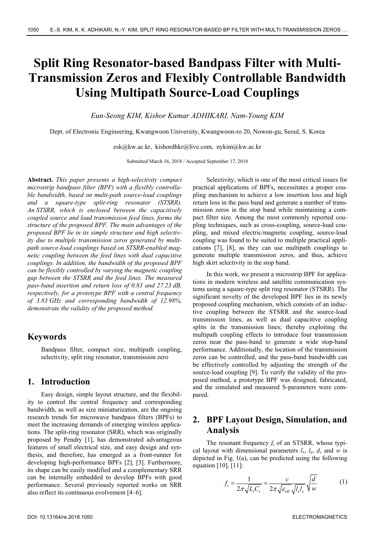# **Split Ring Resonator-based Bandpass Filter with Multi-Transmission Zeros and Flexibly Controllable Bandwidth Using Multipath Source-Load Couplings**

#### *Eun-Seong KIM, Kishor Kumar ADHIKARI, Nam-Young KIM*

Dept. of Electronic Engineering, Kwangwoon University, Kwangwoon-ro 20, Nowon-gu, Seoul, S. Korea

esk@kw.ac.kr, kishordhkr@live.com, nykim@kw.ac.kr

Submitted March 16, 2018 / Accepted September 17, 2018

**Abstract.** *This paper presents a high-selectivity compact microstrip bandpass filter (BPF) with a flexibly controllable bandwidth, based on multi-path source-load couplings and a square-type split-ring resonator (STSRR). An STSRR, which is enclosed between the capacitively coupled source and load transmission feed lines, forms the structure of the proposed BPF. The main advantages of the proposed BPF lie in its simple structure and high selectivity due to multiple transmission zeros generated by multipath source-load couplings based on STSRR-enabled magnetic coupling between the feed lines with dual capacitive couplings. In addition, the bandwidth of the proposed BPF can be flexibly controlled by varying the magnetic coupling gap between the STSRR and the feed lines. The measured pass-band insertion and return loss of 0.83 and 27.23 dB, respectively, for a prototype BPF with a central frequency of 3.83 GHz and corresponding bandwidth of 12.98%, demonstrate the validity of the proposed method.*

## **Keywords**

Bandpass filter, compact size, multipath coupling, selectivity, split ring resonator, transmission zero

#### **1. Introduction**

Easy design, simple layout structure, and the flexibility to control the central frequency and corresponding bandwidth, as well as size miniaturization, are the ongoing research trends for microwave bandpass filters (BPFs) to meet the increasing demands of emerging wireless applications. The split-ring resonator (SRR), which was originally proposed by Pendry [1], has demonstrated advantageous features of small electrical size, and easy design and synthesis, and therefore, has emerged as a front-runner for developing high-performance BPFs [2], [3]. Furthermore, its shape can be easily modified and a complementary SRR can be internally embedded to develop BPFs with good performance. Several previously reported works on SRR also reflect its continuous evolvement [4–6].

Selectivity, which is one of the most critical issues for practical applications of BPFs, necessitates a proper coupling mechanism to achieve a low insertion loss and high return loss in the pass band and generate a number of transmission zeros in the stop band while maintaining a compact filter size. Among the most commonly reported coupling techniques, such as cross-coupling, source-load coupling, and mixed electric/magnetic coupling, source-load coupling was found to be suited to multiple practical applications [7], [8], as they can use multipath couplings to generate multiple transmission zeros, and thus, achieve high skirt selectivity in the stop band.

In this work, we present a microstrip BPF for applications in modern wireless and satellite communication systems using a square-type split ring resonator (STSRR). The significant novelty of the developed BPF lies in its newly proposed coupling mechanism, which consists of an inductive coupling between the STSRR and the source-load transmission lines, as well as dual capacitive coupling splits in the transmission lines; thereby exploiting the multipath coupling effects to introduce four transmission zeros near the pass-band to generate a wide stop-band performance. Additionally, the location of the transmission zeros can be controlled, and the pass-band bandwidth can be effectively controlled by adjusting the strength of the source-load coupling [9]. To verify the validity of the proposed method, a prototype BPF was designed, fabricated, and the simulated and measured S-parameters were compared.

## **2. BPF Layout Design, Simulation, and Analysis**

The resonant frequency  $f_r$  of an STSRR, whose typical layout with dimensional parameters  $l_x$ ,  $l_y$ ,  $d$ , and  $w$  is depicted in Fig. 1(a), can be predicted using the following equation [10], [11]:

$$
f_{\rm r} = \frac{1}{2\pi\sqrt{L_{\rm r}C_{\rm r}}} = \frac{c}{2\pi\sqrt{\varepsilon_{\rm eff}}\sqrt{l_{\rm x}l_{\rm y}}} \sqrt{\frac{d}{w}}\tag{1}
$$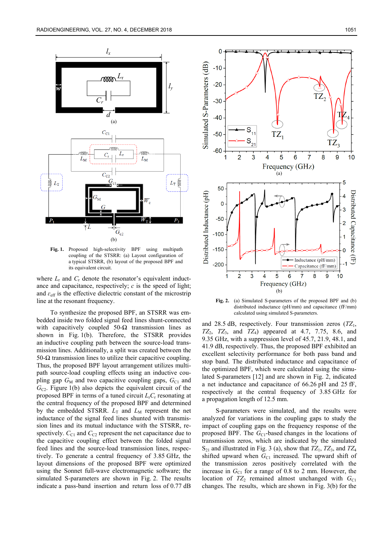

**Fig. 1.** Proposed high-selectivity BPF using multipath coupling of the STSRR: (a) Layout configuration of a typical STSRR, (b) layout of the proposed BPF and its equivalent circuit.

where  $L_r$  and  $C_r$  denote the resonator's equivalent inductance and capacitance, respectively; *c* is the speed of light; and  $\varepsilon$ <sub>eff</sub> is the effective dielectric constant of the microstrip line at the resonant frequency.

To synthesize the proposed BPF, an STSRR was embedded inside two folded signal feed lines shunt-connected with capacitively coupled  $50-\Omega$  transmission lines as shown in Fig. 1(b). Therefore, the STSRR provides an inductive coupling path between the source-load transmission lines. Additionally, a split was created between the 50-Ω transmission lines to utilize their capacitive coupling. Thus, the proposed BPF layout arrangement utilizes multipath source-load coupling effects using an inductive coupling gap  $G_M$  and two capacitive coupling gaps,  $G_{C1}$  and  $G<sub>C2</sub>$ . Figure 1(b) also depicts the equivalent circuit of the proposed BPF in terms of a tuned circuit *L*r*C*r resonating at the central frequency of the proposed BPF and determined by the embedded STSRR.  $L_T$  and  $L_M$  represent the net inductance of the signal feed lines shunted with transmission lines and its mutual inductance with the STSRR, respectively.  $C_{C1}$  and  $C_{C2}$  represent the net capacitance due to the capacitive coupling effect between the folded signal feed lines and the source-load transmission lines, respectively. To generate a central frequency of 3.85 GHz, the layout dimensions of the proposed BPF were optimized using the Sonnet full-wave electromagnetic software; the simulated S-parameters are shown in Fig. 2. The results indicate a pass-band insertion and return loss of 0.77 dB



**Fig. 2.** (a) Simulated S-parameters of the proposed BPF and (b) distributed inductance (pH/mm) and capacitance (fF/mm) calculated using simulated S-parameters.

and 28.5 dB, respectively. Four transmission zeros (*TZ*1, *TZ*2, *TZ*3, and *TZ*4) appeared at 4.7, 7.75, 8.6, and 9.35 GHz, with a suppression level of 45.7, 21.9, 48.1, and 41.9 dB, respectively. Thus, the proposed BPF exhibited an excellent selectivity performance for both pass band and stop band. The distributed inductance and capacitance of the optimized BPF, which were calculated using the simulated S-parameters [12] and are shown in Fig. 2, indicated a net inductance and capacitance of 66.26 pH and 25 fF, respectively at the central frequency of 3.85 GHz for a propagation length of 12.5 mm.

S-parameters were simulated, and the results were analyzed for variations in the coupling gaps to study the impact of coupling gaps on the frequency response of the proposed BPF. The G<sub>C1</sub>-based changes in the locations of transmission zeros, which are indicated by the simulated  $S_{21}$  and illustrated in Fig. 3 (a), show that  $TZ_1$ ,  $TZ_3$ , and  $TZ_4$ shifted upward when  $G_{C1}$  increased. The upward shift of the transmission zeros positively correlated with the increase in  $G_{C1}$  for a range of 0.8 to 2 mm. However, the location of  $TZ_2$  remained almost unchanged with  $G_{C1}$ changes. The results, which are shown in Fig. 3(b) for the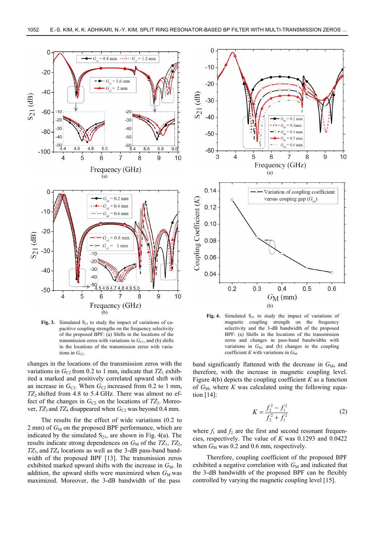

**Fig. 3.** Simulated  $S_{21}$  to study the impact of variations of capacitive coupling strengths on the frequency selectivity of the proposed BPF: (a) Shifts in the locations of the transmission zeros with variations in  $G_{\text{Cl}}$ , and (b) shifts in the locations of the transmission zeros with variations in  $G_{C2}$ .

changes in the locations of the transmission zeros with the variations in  $G_{C2}$  from 0.2 to 1 mm, indicate that  $TZ_1$  exhibited a marked and positively correlated upward shift with an increase in  $G_{C2}$ . When  $G_{C2}$  increased from 0.2 to 1 mm, *TZ*2 shifted from 4.8 to 5.4 GHz. There was almost no effect of the changes in  $G_{C2}$  on the locations of  $TZ_2$ . Moreover,  $TZ_3$  and  $TZ_4$  disappeared when  $G_{C2}$  was beyond 0.4 mm.

The results for the effect of wide variations (0.2 to 2 mm) of  $G_M$  on the proposed BPF performance, which are indicated by the simulated  $S_{21}$ , are shown in Fig. 4(a). The results indicate strong dependences on  $G_M$  of the  $TZ_1$ ,  $TZ_2$ , *TZ*3, and *TZ*4 locations as well as the 3-dB pass-band bandwidth of the proposed BPF [13]. The transmission zeros exhibited marked upward shifts with the increase in  $G_M$ . In addition, the upward shifts were maximized when  $G_M$  was maximized. Moreover, the 3-dB bandwidth of the pass



Fig. 4. Simulated  $S_{21}$  to study the impact of variations of magnetic coupling strength on the frequency selectivity and the 3-dB bandwidth of the proposed BPF: (a) Shifts in the locations of the transmission zeros and changes in pass-band bandwidths with variations in G<sub>M</sub>, and (b) changes in the coupling coefficient *K* with variations in  $G_M$ .

band significantly flattened with the decrease in  $G_M$ , and therefore, with the increase in magnetic coupling level. Figure 4(b) depicts the coupling coefficient *K* as a function of  $G_M$ , where *K* was calculated using the following equation [14]:

$$
K = \frac{f_2^2 - f_1^2}{f_2^2 + f_1^2}
$$
 (2)

where  $f_1$  and  $f_2$  are the first and second resonant frequencies, respectively. The value of *K* was 0.1293 and 0.0422 when  $G_M$  was 0.2 and 0.6 mm, respectively.

Therefore, coupling coefficient of the proposed BPF exhibited a negative correlation with  $G<sub>M</sub>$  and indicated that the 3-dB bandwidth of the proposed BPF can be flexibly controlled by varying the magnetic coupling level [15].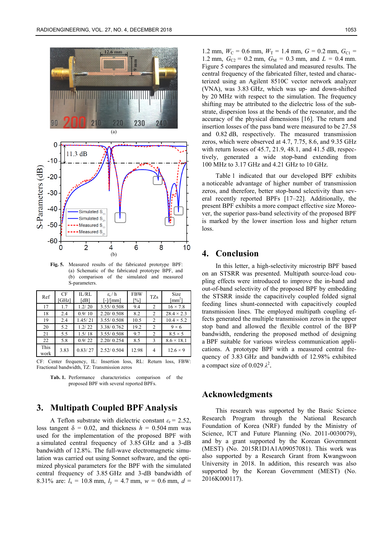

**Fig. 5.** Measured results of the fabricated prototype BPF: (a) Schematic of the fabricated prototype BPF, and (b) comparison of the simulated and measured S-parameters.

| Ref          | CF<br>GHz] | IL/RL<br>[dB] | $\epsilon_{r}/h$<br>$\lceil - \ln m \rceil$ | <b>FBW</b><br>$\lceil\% \rceil$ | <b>TZs</b>     | Size<br>$\lceil$ mm <sup>2</sup> $\rceil$ |
|--------------|------------|---------------|---------------------------------------------|---------------------------------|----------------|-------------------------------------------|
| 17           | 1.7        | 1.2/20        | 3.55/0.508                                  | 9.4                             | $\overline{c}$ | $16 \times 7.8$                           |
| 18           | 2.4        | 0.9/10        | 2.20/0.508                                  | 8.2                             | $\overline{c}$ | $28.4 \times 2.3$                         |
| 19           | 2.4        | 1.45/21       | 3.55/0.508                                  | 10.5                            | $\overline{c}$ | $10.4 \times 5.2$                         |
| 20           | 5.2        | 1.2/22        | 3.38/0.762                                  | 19.2                            | $\overline{c}$ | $9 \times 6$                              |
| 21           | 5.5        | 1.5/18        | 3.55/0.508                                  | 9.7                             | $\overline{c}$ | $8.5 \times 5$                            |
| 22           | 5.8        | 0.9/22        | 2.20/0.254                                  | 8.5                             | 3              | $8.6 \times 18.1$                         |
| This<br>work | 3.83       | 0.83/27       | 2.52/0.504                                  | 12.98                           | 4              | $12.6 \times 9$                           |

CF: Center frequency, IL: Insertion loss, RL: Return loss, FBW: Fractional bandwidth, TZ: Transmission zeros

**Tab. 1.** Performance characteristics comparison of the proposed BPF with several reported BPFs.

#### **3. Multipath Coupled BPF Analysis**

A Teflon substrate with dielectric constant  $\varepsilon$ <sub>r</sub> = 2.52, loss tangent  $\delta = 0.02$ , and thickness  $h = 0.504$  mm was used for the implementation of the proposed BPF with a simulated central frequency of 3.85 GHz and a 3-dB bandwidth of 12.8%. The full-wave electromagnetic simulation was carried out using Sonnet software, and the optimized physical parameters for the BPF with the simulated central frequency of 3.85 GHz and 3-dB bandwidth of 8.31% are:  $l_x = 10.8$  mm,  $l_y = 4.7$  mm,  $w = 0.6$  mm,  $d =$ 

1.2 mm,  $W_C = 0.6$  mm,  $W_T = 1.4$  mm,  $G = 0.2$  mm,  $G_{C1} =$ 1.2 mm,  $G_{C2} = 0.2$  mm,  $G_M = 0.3$  mm, and  $L = 0.4$  mm. Figure 5 compares the simulated and measured results. The central frequency of the fabricated filter, tested and characterized using an Agilent 8510C vector network analyzer (VNA), was 3.83 GHz, which was up- and down-shifted by 20 MHz with respect to the simulation. The frequency shifting may be attributed to the dielectric loss of the substrate, dispersion loss at the bends of the resonator, and the accuracy of the physical dimensions [16]. The return and insertion losses of the pass band were measured to be 27.58 and 0.82 dB, respectively. The measured transmission zeros, which were observed at 4.7, 7.75, 8.6, and 9.35 GHz with return losses of 45.7, 21.9, 48.1, and 41.5 dB, respectively, generated a wide stop-band extending from 100 MHz to 3.17 GHz and 4.21 GHz to 10 GHz.

Table 1 indicated that our developed BPF exhibits a noticeable advantage of higher number of transmission zeros, and therefore, better stop-band selectivity than several recently reported BPFs [17–22]. Additionally, the present BPF exhibits a more compact effective size Moreover, the superior pass-band selectivity of the proposed BPF is marked by the lower insertion loss and higher return loss.

## **4. Conclusion**

In this letter, a high-selectivity microstrip BPF based on an STSRR was presented. Multipath source-load coupling effects were introduced to improve the in-band and out-of-band selectivity of the proposed BPF by embedding the STSRR inside the capacitively coupled folded signal feeding lines shunt-connected with capacitively coupled transmission lines. The employed multipath coupling effects generated the multiple transmission zeros in the upper stop band and allowed the flexible control of the BFP bandwidth, rendering the proposed method of designing a BPF suitable for various wireless communication applications. A prototype BPF with a measured central frequency of 3.83 GHz and bandwidth of 12.98% exhibited a compact size of 0.029  $\lambda^2$ .

#### **Acknowledgments**

This research was supported by the Basic Science Research Program through the National Research Foundation of Korea (NRF) funded by the Ministry of Science, ICT and Future Planning (No. 2011-0030079), and by a grant supported by the Korean Government (MEST) (No. 2015R1D1A1A09057081). This work was also supported by a Research Grant from Kwangwoon University in 2018. In addition, this research was also supported by the Korean Government (MEST) (No. 2016K000117).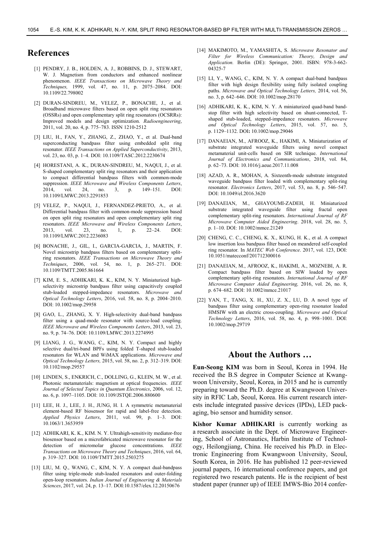#### **References**

- [1] PENDRY, J. B., HOLDEN, A. J., ROBBINS, D. J., STEWART, W. J. Magnetism from conductors and enhanced nonlinear phenomenon. *IEEE Transactions on Microwave Theory and Techniques,* 1999, vol. 47, no. 11, p. 2075–2084. DOI: 10.1109/22.798002
- [2] DURAN-SINDREU, M., VELEZ, P., BONACHE, J., et al. Broadband microwave filters based on open split ring resonators (OSSRs) and open complementary split ring resonators (OCSRRs): Improved models and design optimization. *Radioengineering*, 2011, vol. 20, no. 4, p. 775–783. ISSN 1210-2512
- [3] LIU, H., FAN, Y., ZHANG, Z., ZHAO, Y., et al. Dual-band superconducting bandpass filter using embedded split ring resonator. *IEEE Transactions on Applied Superconductivity*, 2013, vol. 23, no. 03, p. 1-4. DOI: 10.1109/TASC.2012.2230674
- [4] HORESTANI, A. K., DURAN-SINDREU, M., NAQUI, J., et al. S-shaped complementary split ring resonators and their application to compact differential bandpass filters with common-mode suppression. *IEEE Microwave and Wireless Components Letters*, 2014, vol. 24, no. 3, p. 149–151. DOI: 10.1109/LMWC.2013.2291853
- [5] VELEZ, P., NAQUI, J., FERNANDEZ-PRIETO, A., et al. Differential bandpass filter with common-mode suppression based on open split ring resonators and open complementary split ring resonators. *IEEE Microwave and Wireless Components Letters*, 2013, vol. 23, no. 1, p. 22–24. DOI: 10.1109/LMWC.2012.2236083
- [6] BONACHE, J., GIL, I., GARCIA-GARCIA, J., MARTIN, F. Novel microstrip bandpass filters based on complementary splitring resonators. *IEEE Transactions on Microwave Theory and Techniques*, 2006, vol. 54, no. 1, p. 265–271. DOI: 10.1109/TMTT.2005.861664
- [7] KIM, E. S., ADHIKARI, K. K., KIM, N. Y. Miniaturized highselectivity microstrip bandpass filter using capacitively coupled stub-loaded stepped-impedance resonators. *Microwave and Optical Technology Letters*, 2016, vol. 58, no. 8, p. 2004–2010. DOI: 10.1002/mop.29958
- [8] GAO, L., ZHANG, X. Y. High-selectivity dual-band bandpass filter using a quad-mode resonator with source-load coupling. *IEEE Microwave and Wireless Components Letters*, 2013, vol. 23, no. 9, p. 74–76. DOI: 10.1109/LMWC.2013.2274995
- [9] LIANG, J. G., WANG, C., KIM, N. Y. Compact and highly selective dual/tri-band BPFs using folded T-shaped stub-loaded resonators for WLAN and WiMAX applications. *Microwave and Optical Technology Letters,* 2015, vol. 58, no. 2, p. 312–319. DOI: 10.1102/mop.29557
- [10] LINDEN, S., ENKRICH, C., DOLLING, G., KLEIN, M. W., et al. Photonic metamaterials: magnetism at optical frequencies. *IEEE Journal of Selected Topics in Quantum Electronics*, 2006, vol. 12, no. 6, p. 1097–1105. DOI: 10.1109/JSTQE.2006.880600
- [11] LEE, H. J., LEE, J. H., JUNG, H. I. A symmetric metamaterial element-based RF biosensor for rapid and label-free detection. *Applied Physics Letters*, 2011, vol. 99, p. 1–3. DOI: 10.1063/1.3653959
- [12] ADHIKARI, K. K., KIM. N. Y. Ultrahigh-sensitivity mediator-free biosensor based on a microfabricated microwave resonator for the detection of micromolar glucose concentrations. *IEEE Transactions on Microwave Theory and Techniques*, 2016, vol. 64, p. 319–327. DOI: 10.1109/TMTT.2015.2503275
- [13] LIU, M. Q., WANG, C., KIM, N. Y. A compact dual-bandpass filter using triple-mode stub-loaded resonators and outer-folding open-loop resonators. *Indian Journal of Engineering & Materials Sciences*, 2017, vol. 24, p. 13–17. DOI:10.1587/elex.12.20150676
- [14] MAKIMOTO, M., YAMASHITA, S. *Microwave Resonator and Filter for Wireless Communication: Theory, Design and Application.* Berlin (DE): Springer, 2001. ISBN: 978-3-662- 04325-7
- [15] LI, Y., WANG, C., KIM, N. Y. A compact dual-band bandpass filter with high design flexibility using fully isolated coupling paths. *Microwave and Optical Technology Letters,* 2014, vol. 56, no. 3, p. 642–646. DOI: 10.1002/mop.28170
- [16] ADHIKARI, K. K., KIM, N. Y. A miniaturized quad-band bandstop filter with high selectivity based on shunt-connected, Tshaped stub-loaded, stepped-impedance resonators. *Microwave and Optical Technology Letters*, 2015, vol. 57, no. 5, p. 1129–1132. DOI**:** 10.1002/mop.29046
- [17] DANAEIAN, M., AFROOZ, K., HAKIMI, A. Miniaturization of substrate integrated waveguide filters using novel compact metamaterial unit-cells based on SIR technique. *International Journal of Electronics and Communications*, 2018, vol. 84, p. 62–73. DOI: 10.1016/j.aeue.2017.11.008
- [18] AZAD, A. R., MOHAN, A. Sixteenth-mode substrate integrated waveguide bandpass filter loaded with complementary split-ring resonator. *Electronics Letters*, 2017, vol. 53, no. 8, p. 546–547. DOI: 10.1049/el.2016.3620
- [19] DANAEIAN, M., GHAYOUMI-ZADEH, H. Miniaturized substrate integrated waveguide filter using fractal open complementary split-ring resonators. *International Journal of RF Microwave Computer Aided Engineering*. 2018, vol. 28, no. 5, p. 1–10. DOI: 10.1002/mmce.21249
- [20] CHENG, C. C., CHENG, K. X., KUNG, H. K., et al. A compact low insertion loss bandpass filter based on meandered self-coupled ring resonator*.* In *MATEC Web Conference*. 2017, vol. 123, DOI: 10.1051/matecconf/201712300016
- [21] DANAEIAN, M., AFROOZ, K., HAKIMI, A., MOZNEBI, A. R. Compact bandpass filter based on SIW loaded by open complementary split-ring resonators. *International Journal of RF Microwave Computer Aided Engineering,* 2016, vol. 26, no. 8, p. 674–682. DOI: 10.1002/mmce.21017
- [22] YAN, T., TANG, X. H., XU, Z. X., LU, D. A novel type of bandpass filter using complementary open-ring resonator loaded HMSIW with an electric cross-coupling. *Microwave and Optical Technology Letters*, 2016, vol. 58, no. 4, p. 998–1001. DOI: 10.1002/mop.29719

#### **About the Authors …**

**Eun-Seong KIM** was born in Seoul, Korea in 1994. He received the B.S degree in Computer Science at Kwangwoon University, Seoul, Korea, in 2015 and he is currently preparing toward the Ph.D. degree at Kwangwoon University in RFIC Lab, Seoul, Korea. His current research interests include integrated passive devices (IPDs), LED packaging, bio sensor and humidity sensor.

**Kishor Kumar ADHIKARI** is currently working as a research associate in the Dept. of Microwave Engineering, School of Astronautics, Harbin Institute of Technology, Heilongjiang, China. He received his Ph.D. in Electronic Engineering from Kwangwoon University, Seoul, South Korea, in 2016. He has published 12 peer-reviewed journal papers, 16 international conference papers, and got registered two research patents. He is the recipient of best student paper (runner up) of IEEE IMWS-Bio 2014 confer-